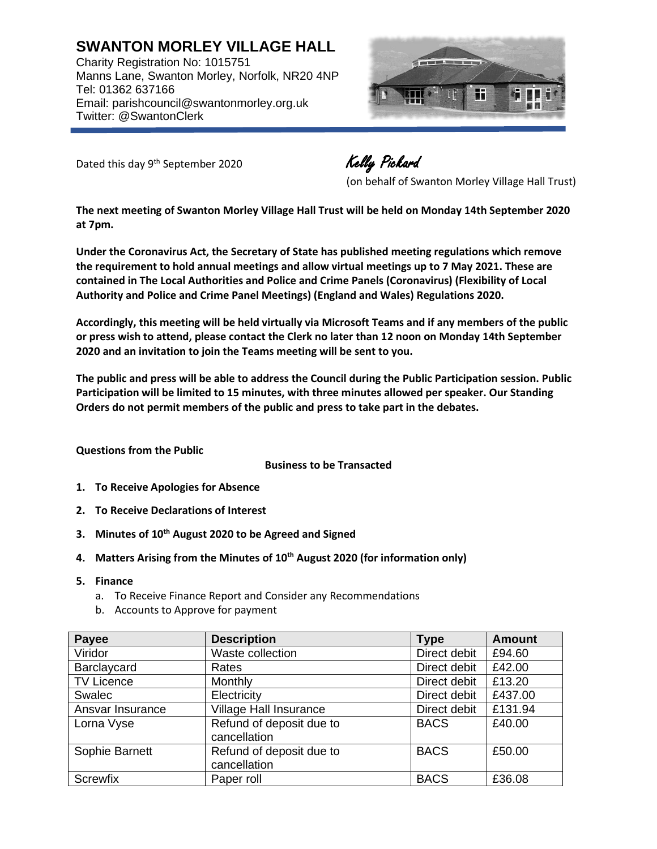**SWANTON MORLEY VILLAGE HALL** Charity Registration No: 1015751 Manns Lane, Swanton Morley, Norfolk, NR20 4NP Tel: 01362 637166 Email: parishcouncil@swantonmorley.org.uk Twitter: @SwantonClerk



Dated this day 9<sup>th</sup> September 2020

Kelly Pickard

(on behalf of Swanton Morley Village Hall Trust)

**The next meeting of Swanton Morley Village Hall Trust will be held on Monday 14th September 2020 at 7pm.**

**Under the Coronavirus Act, the Secretary of State has published meeting regulations which remove the requirement to hold annual meetings and allow virtual meetings up to 7 May 2021. These are contained in The Local Authorities and Police and Crime Panels (Coronavirus) (Flexibility of Local Authority and Police and Crime Panel Meetings) (England and Wales) Regulations 2020.**

**Accordingly, this meeting will be held virtually via Microsoft Teams and if any members of the public or press wish to attend, please contact the Clerk no later than 12 noon on Monday 14th September 2020 and an invitation to join the Teams meeting will be sent to you.**

**The public and press will be able to address the Council during the Public Participation session. Public Participation will be limited to 15 minutes, with three minutes allowed per speaker. Our Standing Orders do not permit members of the public and press to take part in the debates.**

## **Questions from the Public**

**Business to be Transacted**

- **1. To Receive Apologies for Absence**
- **2. To Receive Declarations of Interest**
- **3. Minutes of 10 th August 2020 to be Agreed and Signed**
- **4. Matters Arising from the Minutes of 10 th August 2020 (for information only)**
- **5. Finance**
	- a. To Receive Finance Report and Consider any Recommendations
	- b. Accounts to Approve for payment

| Payee             | <b>Description</b>                       | <b>Type</b>  | <b>Amount</b> |
|-------------------|------------------------------------------|--------------|---------------|
| Viridor           | Waste collection                         | Direct debit | £94.60        |
| Barclaycard       | Rates                                    | Direct debit | £42.00        |
| <b>TV Licence</b> | Monthly                                  | Direct debit | £13.20        |
| Swalec            | Electricity                              | Direct debit | £437.00       |
| Ansvar Insurance  | <b>Village Hall Insurance</b>            | Direct debit | £131.94       |
| Lorna Vyse        | Refund of deposit due to<br>cancellation | <b>BACS</b>  | £40.00        |
| Sophie Barnett    | Refund of deposit due to<br>cancellation | <b>BACS</b>  | £50.00        |
| Screwfix          | Paper roll                               | <b>BACS</b>  | £36.08        |